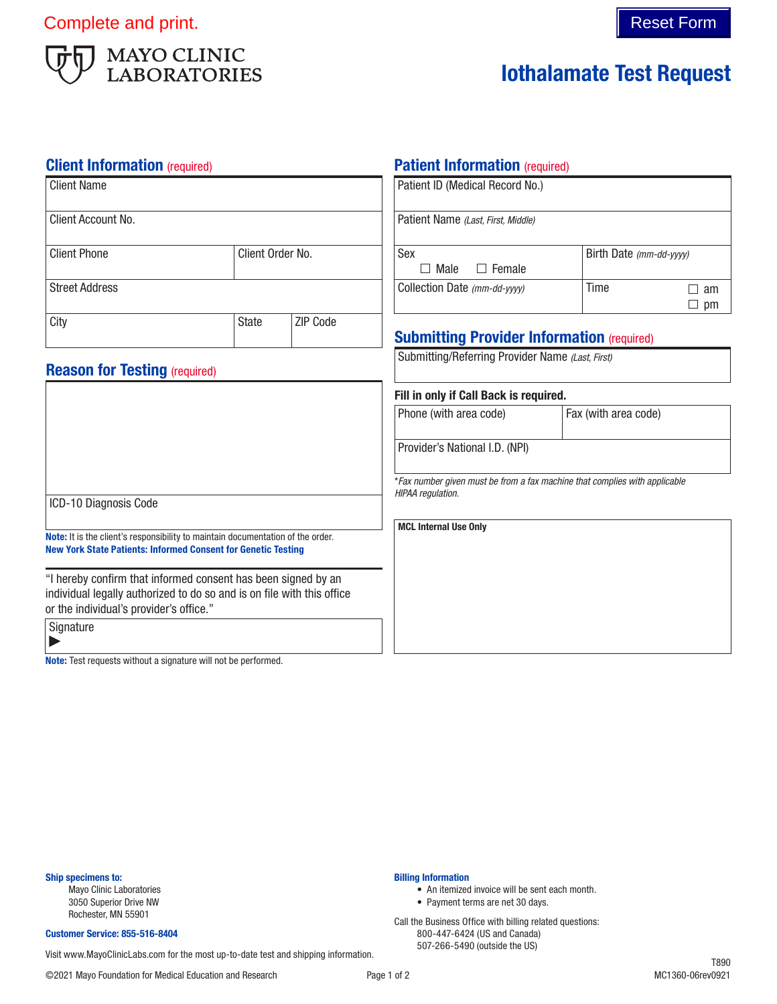# Complete and print. The complete and print.



# Iothalamate Test Request

### **Client Information** (required)

| <b>Client Name</b><br>Client Account No.                                                                                                                                           |              |                        | Patient ID (Medical Record No.)<br>Patient Name (Last, First, Middle)                           |                                        |  |  |
|------------------------------------------------------------------------------------------------------------------------------------------------------------------------------------|--------------|------------------------|-------------------------------------------------------------------------------------------------|----------------------------------------|--|--|
|                                                                                                                                                                                    |              |                        |                                                                                                 |                                        |  |  |
| <b>Street Address</b>                                                                                                                                                              |              |                        | Collection Date (mm-dd-yyyy)                                                                    | <b>Time</b><br>П<br>am<br>П.<br>pm     |  |  |
| City                                                                                                                                                                               | <b>State</b> | ZIP Code               | <b>Submitting Provider Information (required)</b>                                               |                                        |  |  |
| <b>Reason for Testing (required)</b>                                                                                                                                               |              |                        | Submitting/Referring Provider Name (Last, First)                                                |                                        |  |  |
|                                                                                                                                                                                    |              |                        |                                                                                                 | Fill in only if Call Back is required. |  |  |
|                                                                                                                                                                                    |              | Phone (with area code) | Fax (with area code)                                                                            |                                        |  |  |
|                                                                                                                                                                                    |              |                        | Provider's National I.D. (NPI)                                                                  |                                        |  |  |
| ICD-10 Diagnosis Code                                                                                                                                                              |              |                        | *Fax number given must be from a fax machine that complies with applicable<br>HIPAA regulation. |                                        |  |  |
| Note: It is the client's responsibility to maintain documentation of the order.<br><b>New York State Patients: Informed Consent for Genetic Testing</b>                            |              |                        | <b>MCL Internal Use Only</b>                                                                    |                                        |  |  |
| "I hereby confirm that informed consent has been signed by an<br>individual legally authorized to do so and is on file with this office<br>or the individual's provider's office." |              |                        |                                                                                                 |                                        |  |  |
| Signature<br>الموجود وكوماتهم والمواطر الثرب وسيطو وسامر والمروطانين والموريومة الموات الملحل                                                                                      |              |                        |                                                                                                 |                                        |  |  |

**Patient Information (required)** 

Note: Test requests without a signature will not be performed.

#### Ship specimens to:

Mayo Clinic Laboratories 3050 Superior Drive NW Rochester, MN 55901

#### Customer Service: 855-516-8404

Visit www.MayoClinicLabs.com for the most up-to-date test and shipping information.

#### Billing Information

- An itemized invoice will be sent each month.
- Payment terms are net 30 days.

Call the Business Office with billing related questions: 800-447-6424 (US and Canada) 507-266-5490 (outside the US)